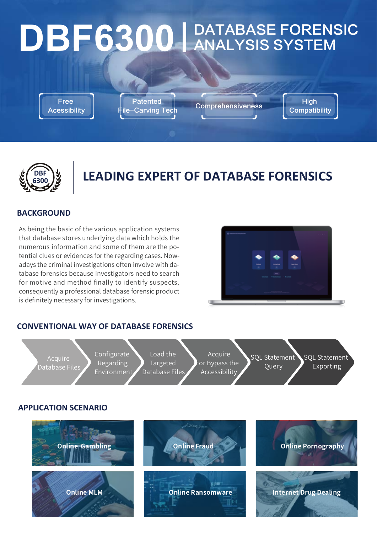# DBF6300 ANALYSIS SYSTEM

Free **Acessibility**  **Patented** 

Patented Comprehensiveness High<br>ile-Carving Tech Comprehensiveness Compatil

**Compatibility** 



# **LEADING EXPERT OF DATABASE FORENSICS**

### **BACKGROUND**

As being the basic of the various application systems that database stores underlying data which holds the numerous information and some of them are the potential clues or evidences for the regarding cases. Nowadays the criminal investigations often involve with database forensics because investigators need to search for motive and method finally to identify suspects, consequently a professional database forensic product is definitely necessary for investigations.



## **CONVENTIONAL WAY OF DATABASE FORENSICS**

Acquire Database Files Configurate Regarding Environment

Load the Targeted Database Files Acquire or Bypass the Accessibility

SQL Statement **Query** 

SQL Statement Exporting

**APPLICATION SCENARIO**

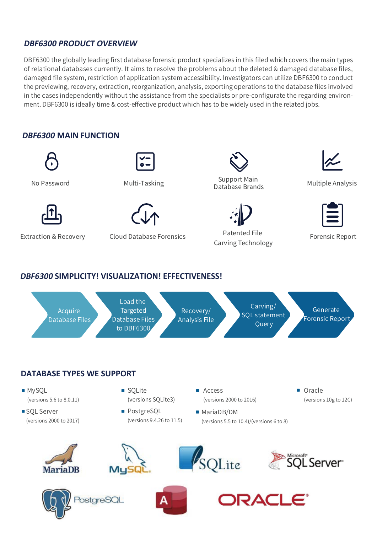### **DBF6300 PRODUCT OVERVIEW**

DBF6300 the globally leading first database forensic product specializes in this filed which covers the main types of relational databases currently. It aims to resolve the problems about the deleted & damaged database files, damaged file system, restriction of application system accessibility. Investigators can utilize DBF6300 to conduct the previewing, recovery, extraction, reorganization, analysis, exporting operations to the database files involved in the cases independently without the assistance from the specialists or pre-configurate the regarding environment. DBF6300 is ideally time & cost-effective product which has to be widely used in the related jobs.

### **DBF6300 MAIN FUNCTION**